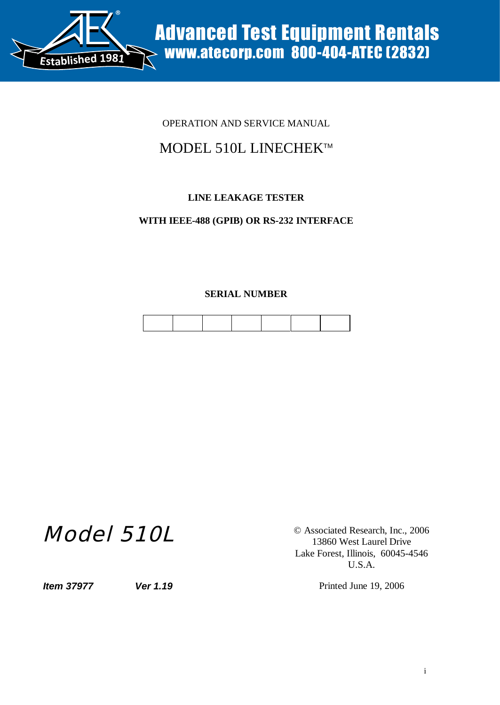

## OPERATION AND SERVICE MANUAL

# MODEL 510L LINECHEK™

## **LINE LEAKAGE TESTER**

### **WITH IEEE-488 (GPIB) OR RS-232 INTERFACE**

#### **SERIAL NUMBER**

# Model 510L

© Associated Research, Inc., 2006 13860 West Laurel Drive Lake Forest, Illinois, 60045-4546 U.S.A.

*Item 37977 Ver 1.19 Ver 1.19* Printed June 19, 2006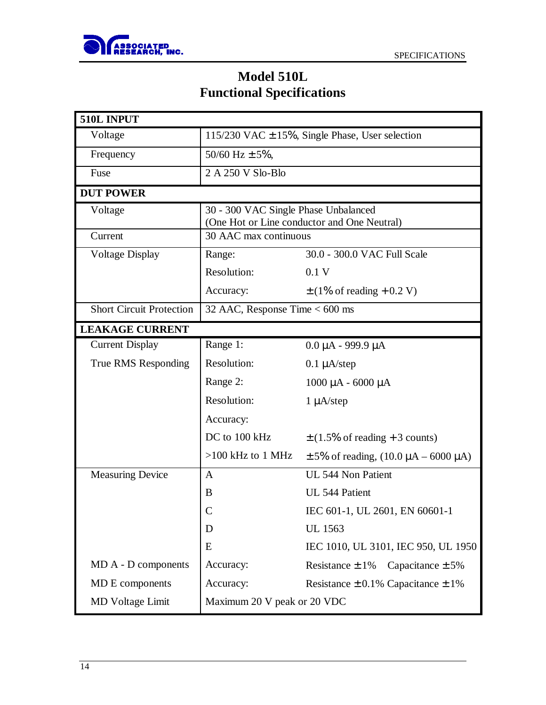

# **Model 510L Functional Specifications**

| 510L INPUT                      |                                                     |                                                    |  |  |
|---------------------------------|-----------------------------------------------------|----------------------------------------------------|--|--|
| Voltage                         | 115/230 VAC $\pm$ 15%, Single Phase, User selection |                                                    |  |  |
| Frequency                       | 50/60 Hz $\pm$ 5%,                                  |                                                    |  |  |
| Fuse                            | 2 A 250 V Slo-Blo                                   |                                                    |  |  |
| <b>DUT POWER</b>                |                                                     |                                                    |  |  |
| Voltage                         | 30 - 300 VAC Single Phase Unbalanced                |                                                    |  |  |
|                                 | (One Hot or Line conductor and One Neutral)         |                                                    |  |  |
| Current                         | 30 AAC max continuous                               |                                                    |  |  |
| <b>Voltage Display</b>          | Range:                                              | 30.0 - 300.0 VAC Full Scale                        |  |  |
|                                 | Resolution:                                         | 0.1V                                               |  |  |
|                                 | Accuracy:                                           | $\pm$ (1% of reading + 0.2 V)                      |  |  |
| <b>Short Circuit Protection</b> | 32 AAC, Response Time $< 600$ ms                    |                                                    |  |  |
| <b>LEAKAGE CURRENT</b>          |                                                     |                                                    |  |  |
| <b>Current Display</b>          | Range 1:                                            | $0.0 \mu A - 999.9 \mu A$                          |  |  |
| True RMS Responding             | Resolution:                                         | $0.1 \mu A$ /step                                  |  |  |
|                                 | Range 2:                                            | $1000$ μA - 6000 μA                                |  |  |
|                                 | Resolution:                                         | $1 \mu A$ /step                                    |  |  |
|                                 | Accuracy:                                           |                                                    |  |  |
|                                 | DC to 100 kHz                                       | $\pm$ (1.5% of reading + 3 counts)                 |  |  |
|                                 | $>100$ kHz to 1 MHz                                 | $\pm$ 5% of reading, (10.0 $\mu$ A – 6000 $\mu$ A) |  |  |
| <b>Measuring Device</b>         | $\mathbf{A}$                                        | UL 544 Non Patient                                 |  |  |
|                                 | B                                                   | UL 544 Patient                                     |  |  |
|                                 |                                                     | IEC 601-1, UL 2601, EN 60601-1                     |  |  |
|                                 | D                                                   | <b>UL</b> 1563                                     |  |  |
|                                 | E                                                   | IEC 1010, UL 3101, IEC 950, UL 1950                |  |  |
| MD A - D components             | Accuracy:                                           | Resistance $\pm$ 1%<br>Capacitance $\pm$ 5%        |  |  |
| MD E components                 | Accuracy:                                           | Resistance $\pm$ 0.1% Capacitance $\pm$ 1%         |  |  |
| <b>MD</b> Voltage Limit         | Maximum 20 V peak or 20 VDC                         |                                                    |  |  |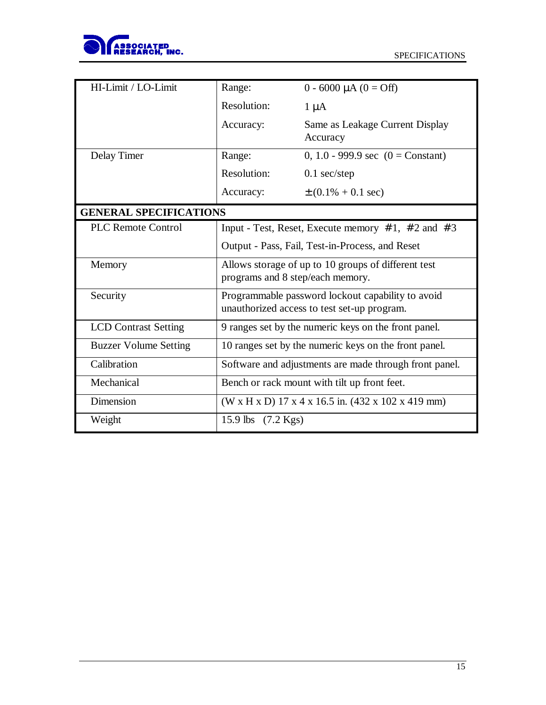

| HI-Limit / LO-Limit                                           | Range:                                                   | $0 - 6000 \mu A (0 = Off)$                         |  |
|---------------------------------------------------------------|----------------------------------------------------------|----------------------------------------------------|--|
|                                                               |                                                          |                                                    |  |
|                                                               | Resolution:                                              | $1 \mu A$                                          |  |
|                                                               | Accuracy:                                                | Same as Leakage Current Display                    |  |
|                                                               |                                                          | Accuracy                                           |  |
| Delay Timer                                                   | Range:                                                   | 0, 1.0 - 999.9 sec $(0 = Constant)$                |  |
|                                                               | Resolution:                                              | $0.1$ sec/step                                     |  |
|                                                               | Accuracy:                                                | $\pm (0.1\% + 0.1 \text{ sec})$                    |  |
| <b>GENERAL SPECIFICATIONS</b>                                 |                                                          |                                                    |  |
| <b>PLC Remote Control</b>                                     | Input - Test, Reset, Execute memory $# 1, # 2$ and $# 3$ |                                                    |  |
|                                                               | Output - Pass, Fail, Test-in-Process, and Reset          |                                                    |  |
| Allows storage of up to 10 groups of different test<br>Memory |                                                          |                                                    |  |
|                                                               | programs and 8 step/each memory.                         |                                                    |  |
| Security                                                      | Programmable password lockout capability to avoid        |                                                    |  |
|                                                               |                                                          | unauthorized access to test set-up program.        |  |
| <b>LCD</b> Contrast Setting                                   | 9 ranges set by the numeric keys on the front panel.     |                                                    |  |
| <b>Buzzer Volume Setting</b>                                  | 10 ranges set by the numeric keys on the front panel.    |                                                    |  |
| Calibration                                                   | Software and adjustments are made through front panel.   |                                                    |  |
| Mechanical                                                    | Bench or rack mount with tilt up front feet.             |                                                    |  |
| Dimension                                                     |                                                          | (W x H x D) 17 x 4 x 16.5 in. (432 x 102 x 419 mm) |  |
| Weight                                                        | 15.9 lbs (7.2 Kgs)                                       |                                                    |  |